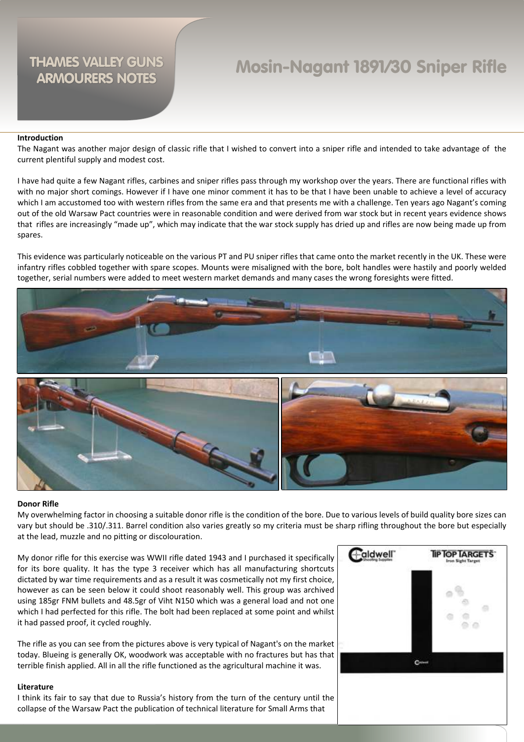# Mosin-Nagant 1891/30 Sniper Rifle

### **Introduction**

The Nagant was another major design of classic rifle that I wished to convert into a sniper rifle and intended to take advantage of the current plentiful supply and modest cost.

I have had quite a few Nagant rifles, carbines and sniper rifles pass through my workshop over the years. There are functional rifles with with no major short comings. However if I have one minor comment it has to be that I have been unable to achieve a level of accuracy which I am accustomed too with western rifles from the same era and that presents me with a challenge. Ten years ago Nagant's coming out of the old Warsaw Pact countries were in reasonable condition and were derived from war stock but in recent years evidence shows that rifles are increasingly "made up", which may indicate that the war stock supply has dried up and rifles are now being made up from spares.

This evidence was particularly noticeable on the various PT and PU sniper rifles that came onto the market recently in the UK. These were infantry rifles cobbled together with spare scopes. Mounts were misaligned with the bore, bolt handles were hastily and poorly welded together, serial numbers were added to meet western market demands and many cases the wrong foresights were fitted.



### **Donor Rifle**

My overwhelming factor in choosing a suitable donor rifle is the condition of the bore. Due to various levels of build quality bore sizes can vary but should be .310/.311. Barrel condition also varies greatly so my criteria must be sharp rifling throughout the bore but especially at the lead, muzzle and no pitting or discolouration.

My donor rifle for this exercise was WWII rifle dated 1943 and I purchased it specifically for its bore quality. It has the type 3 receiver which has all manufacturing shortcuts dictated by war time requirements and as a result it was cosmetically not my first choice, however as can be seen below it could shoot reasonably well. This group was archived using 185gr FNM bullets and 48.5gr of Viht N150 which was a general load and not one which I had perfected for this rifle. The bolt had been replaced at some point and whilst it had passed proof, it cycled roughly.

The rifle as you can see from the pictures above is very typical of Nagant's on the market today. Blueing is generally OK, woodwork was acceptable with no fractures but has that terrible finish applied. All in all the rifle functioned as the agricultural machine it was.

### **Literature**

I think its fair to say that due to Russia's history from the turn of the century until the collapse of the Warsaw Pact the publication of technical literature for Small Arms that

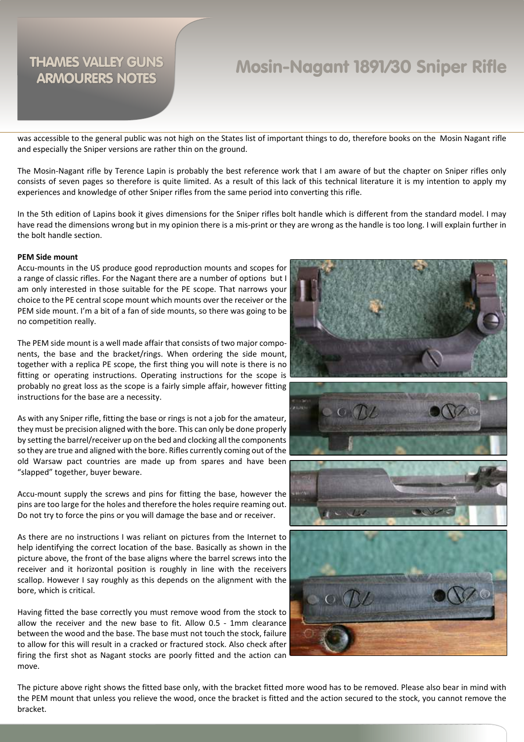## Mosin-Nagant 1891/30 Sniper Rifle

was accessible to the general public was not high on the States list of important things to do, therefore books on the Mosin Nagant rifle and especially the Sniper versions are rather thin on the ground.

The Mosin-Nagant rifle by Terence Lapin is probably the best reference work that I am aware of but the chapter on Sniper rifles only consists of seven pages so therefore is quite limited. As a result of this lack of this technical literature it is my intention to apply my experiences and knowledge of other Sniper rifles from the same period into converting this rifle.

In the 5th edition of Lapins book it gives dimensions for the Sniper rifles bolt handle which is different from the standard model. I may have read the dimensions wrong but in my opinion there is a mis-print or they are wrong as the handle is too long. I will explain further in the bolt handle section.

### **PEM Side mount**

Accu-mounts in the US produce good reproduction mounts and scopes for a range of classic rifles. For the Nagant there are a number of options but I am only interested in those suitable for the PE scope. That narrows your choice to the PE central scope mount which mounts over the receiver or the PEM side mount. I'm a bit of a fan of side mounts, so there was going to be no competition really.

The PEM side mount is a well made affair that consists of two major components, the base and the bracket/rings. When ordering the side mount, together with a replica PE scope, the first thing you will note is there is no fitting or operating instructions. Operating instructions for the scope is probably no great loss as the scope is a fairly simple affair, however fitting instructions for the base are a necessity.

As with any Sniper rifle, fitting the base or rings is not a job for the amateur, they must be precision aligned with the bore. This can only be done properly by setting the barrel/receiver up on the bed and clocking all the components so they are true and aligned with the bore. Rifles currently coming out of the old Warsaw pact countries are made up from spares and have been "slapped" together, buyer beware.

Accu-mount supply the screws and pins for fitting the base, however the pins are too large for the holes and therefore the holes require reaming out. Do not try to force the pins or you will damage the base and or receiver.

As there are no instructions I was reliant on pictures from the Internet to help identifying the correct location of the base. Basically as shown in the picture above, the front of the base aligns where the barrel screws into the receiver and it horizontal position is roughly in line with the receivers scallop. However I say roughly as this depends on the alignment with the bore, which is critical.

Having fitted the base correctly you must remove wood from the stock to allow the receiver and the new base to fit. Allow 0.5 - 1mm clearance between the wood and the base. The base must not touch the stock, failure to allow for this will result in a cracked or fractured stock. Also check after firing the first shot as Nagant stocks are poorly fitted and the action can move.



The picture above right shows the fitted base only, with the bracket fitted more wood has to be removed. Please also bear in mind with the PEM mount that unless you relieve the wood, once the bracket is fitted and the action secured to the stock, you cannot remove the bracket.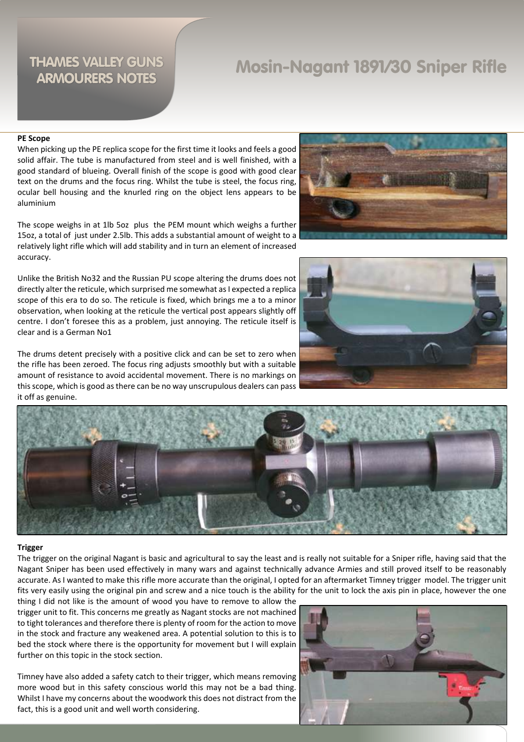## Mosin-Nagant 1891/30 Sniper Rifle

### **PE Scope**

When picking up the PE replica scope for the first time it looks and feels a good solid affair. The tube is manufactured from steel and is well finished, with a good standard of blueing. Overall finish of the scope is good with good clear text on the drums and the focus ring. Whilst the tube is steel, the focus ring, ocular bell housing and the knurled ring on the object lens appears to be aluminium

The scope weighs in at 1lb 5oz plus the PEM mount which weighs a further 15oz, a total of just under 2.5lb. This adds a substantial amount of weight to a relatively light rifle which will add stability and in turn an element of increased accuracy.

Unlike the British No32 and the Russian PU scope altering the drums does not directly alter the reticule, which surprised me somewhat as I expected a replica scope of this era to do so. The reticule is fixed, which brings me a to a minor observation, when looking at the reticule the vertical post appears slightly off centre. I don't foresee this as a problem, just annoying. The reticule itself is clear and is a German No1

The drums detent precisely with a positive click and can be set to zero when the rifle has been zeroed. The focus ring adjusts smoothly but with a suitable amount of resistance to avoid accidental movement. There is no markings on this scope, which is good as there can be no way unscrupulous dealers can pass it off as genuine.







### **Trigger**

The trigger on the original Nagant is basic and agricultural to say the least and is really not suitable for a Sniper rifle, having said that the Nagant Sniper has been used effectively in many wars and against technically advance Armies and still proved itself to be reasonably accurate. As I wanted to make this rifle more accurate than the original, I opted for an aftermarket Timney trigger model. The trigger unit fits very easily using the original pin and screw and a nice touch is the ability for the unit to lock the axis pin in place, however the one

thing I did not like is the amount of wood you have to remove to allow the trigger unit to fit. This concerns me greatly as Nagant stocks are not machined to tight tolerances and therefore there is plenty of room for the action to move in the stock and fracture any weakened area. A potential solution to this is to bed the stock where there is the opportunity for movement but I will explain further on this topic in the stock section.

Timney have also added a safety catch to their trigger, which means removing more wood but in this safety conscious world this may not be a bad thing. Whilst I have my concerns about the woodwork this does not distract from the fact, this is a good unit and well worth considering.

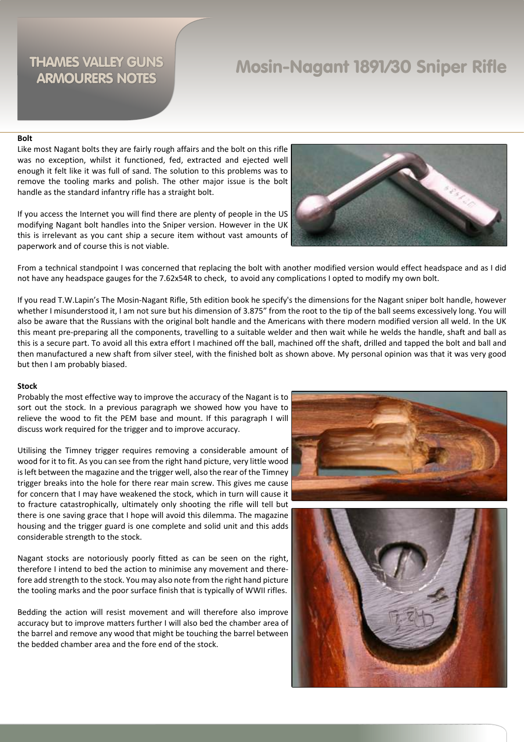## Mosin-Nagant 1891/30 Sniper Rifle

### **Bolt**

Like most Nagant bolts they are fairly rough affairs and the bolt on this rifle was no exception, whilst it functioned, fed, extracted and ejected well enough it felt like it was full of sand. The solution to this problems was to remove the tooling marks and polish. The other major issue is the bolt handle as the standard infantry rifle has a straight bolt.

If you access the Internet you will find there are plenty of people in the US modifying Nagant bolt handles into the Sniper version. However in the UK this is irrelevant as you cant ship a secure item without vast amounts of paperwork and of course this is not viable.



From a technical standpoint I was concerned that replacing the bolt with another modified version would effect headspace and as I did not have any headspace gauges for the 7.62x54R to check, to avoid any complications I opted to modify my own bolt.

If you read T.W.Lapin's The Mosin-Nagant Rifle, 5th edition book he specify's the dimensions for the Nagant sniper bolt handle, however whether I misunderstood it, I am not sure but his dimension of 3.875" from the root to the tip of the ball seems excessively long. You will also be aware that the Russians with the original bolt handle and the Americans with there modern modified version all weld. In the UK this meant pre-preparing all the components, travelling to a suitable welder and then wait while he welds the handle, shaft and ball as this is a secure part. To avoid all this extra effort I machined off the ball, machined off the shaft, drilled and tapped the bolt and ball and then manufactured a new shaft from silver steel, with the finished bolt as shown above. My personal opinion was that it was very good but then I am probably biased.

#### **Stock**

Probably the most effective way to improve the accuracy of the Nagant is to sort out the stock. In a previous paragraph we showed how you have to relieve the wood to fit the PEM base and mount. If this paragraph I will discuss work required for the trigger and to improve accuracy.

Utilising the Timney trigger requires removing a considerable amount of wood for it to fit. As you can see from the right hand picture, very little wood is left between the magazine and the trigger well, also the rear of the Timney trigger breaks into the hole for there rear main screw. This gives me cause for concern that I may have weakened the stock, which in turn will cause it to fracture catastrophically, ultimately only shooting the rifle will tell but there is one saving grace that I hope will avoid this dilemma. The magazine housing and the trigger guard is one complete and solid unit and this adds considerable strength to the stock.

Nagant stocks are notoriously poorly fitted as can be seen on the right, therefore I intend to bed the action to minimise any movement and therefore add strength to the stock. You may also note from the right hand picture the tooling marks and the poor surface finish that is typically of WWII rifles.

Bedding the action will resist movement and will therefore also improve accuracy but to improve matters further I will also bed the chamber area of the barrel and remove any wood that might be touching the barrel between the bedded chamber area and the fore end of the stock.



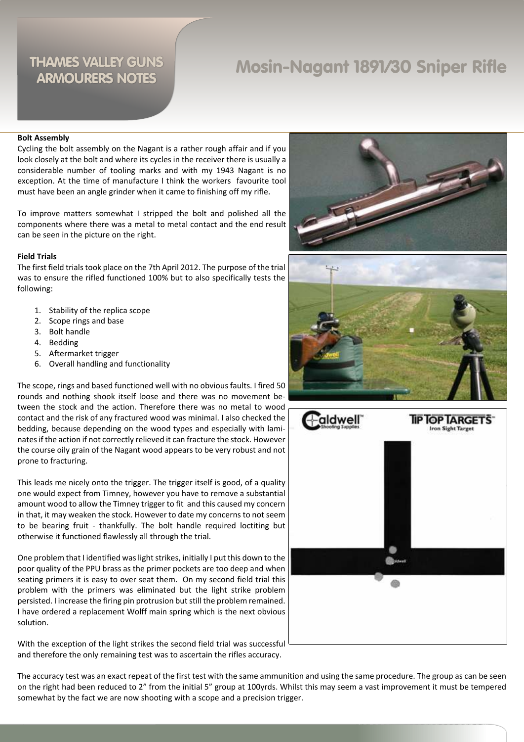## Mosin-Nagant 1891/30 Sniper Rifle

#### **Bolt Assembly**

Cycling the bolt assembly on the Nagant is a rather rough affair and if you look closely at the bolt and where its cycles in the receiver there is usually a considerable number of tooling marks and with my 1943 Nagant is no exception. At the time of manufacture I think the workers favourite tool must have been an angle grinder when it came to finishing off my rifle.

To improve matters somewhat I stripped the bolt and polished all the components where there was a metal to metal contact and the end result can be seen in the picture on the right.

#### **Field Trials**

The first field trials took place on the 7th April 2012. The purpose of the trial was to ensure the rifled functioned 100% but to also specifically tests the following:

- 1. Stability of the replica scope
- 2. Scope rings and base
- 3. Bolt handle
- 4. Bedding
- 5. Aftermarket trigger
- 6. Overall handling and functionality

The scope, rings and based functioned well with no obvious faults. I fired 50 rounds and nothing shook itself loose and there was no movement between the stock and the action. Therefore there was no metal to wood contact and the risk of any fractured wood was minimal. I also checked the bedding, because depending on the wood types and especially with laminates if the action if not correctly relieved it can fracture the stock. However the course oily grain of the Nagant wood appears to be very robust and not prone to fracturing.

This leads me nicely onto the trigger. The trigger itself is good, of a quality one would expect from Timney, however you have to remove a substantial amount wood to allow the Timney trigger to fit and this caused my concern in that, it may weaken the stock. However to date my concerns to not seem to be bearing fruit - thankfully. The bolt handle required loctiting but otherwise it functioned flawlessly all through the trial.

One problem that I identified was light strikes, initially I put this down to the poor quality of the PPU brass as the primer pockets are too deep and when seating primers it is easy to over seat them. On my second field trial this problem with the primers was eliminated but the light strike problem persisted. I increase the firing pin protrusion but still the problem remained. I have ordered a replacement Wolff main spring which is the next obvious solution.

With the exception of the light strikes the second field trial was successful and therefore the only remaining test was to ascertain the rifles accuracy.





The accuracy test was an exact repeat of the first test with the same ammunition and using the same procedure. The group as can be seen on the right had been reduced to 2" from the initial 5" group at 100yrds. Whilst this may seem a vast improvement it must be tempered somewhat by the fact we are now shooting with a scope and a precision trigger.